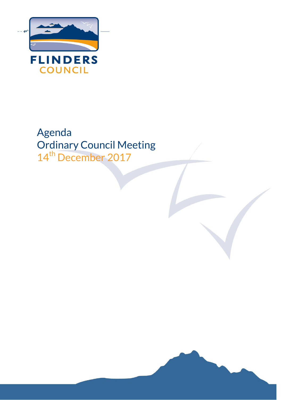

# Agenda Ordinary Council Meeting 14<sup>th</sup> December 2017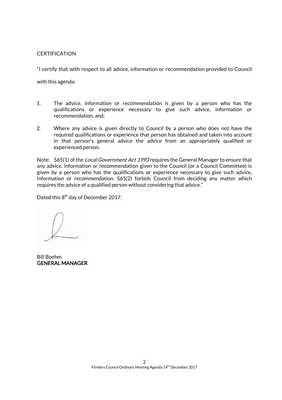# **CERTIFICATION**

"I certify that with respect to all advice, information or recommendation provided to Council

with this agenda:

- 1. The advice, information or recommendation is given by a person who has the qualifications or experience necessary to give such advice, information or recommendation, and;
- 2. Where any advice is given directly to Council by a person who does not have the required qualifications or experience that person has obtained and taken into account in that person's general advice the advice from an appropriately qualified or experienced person.

Note: S65(1) of the *Local Government Act 1993* requires the General Manager to ensure that any advice, information or recommendation given to the Council (or a Council Committee) is given by a person who has the qualifications or experience necessary to give such advice, information or recommendation. S65(2) forbids Council from deciding any matter which requires the advice of a qualified person without considering that advice."

Dated this  $8^{\text{th}}$  day of December 2017.

Bill Boehm GENERAL MANAGER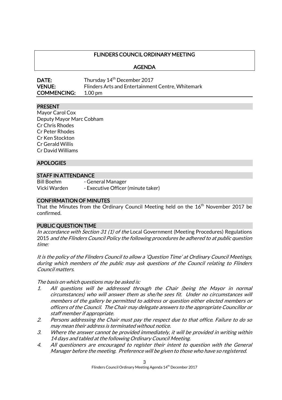# FLINDERS COUNCIL ORDINARY MEETING

AGENDA

| <b>DATE:</b>       | Thursday 14 <sup>th</sup> December 2017           |
|--------------------|---------------------------------------------------|
| <b>VENUE:</b>      | Flinders Arts and Entertainment Centre, Whitemark |
| <b>COMMENCING:</b> | 1.00 pm                                           |

#### PRESENT

Mayor Carol Cox Deputy Mayor Marc Cobham Cr Chris Rhodes Cr Peter Rhodes Cr Ken Stockton Cr Gerald Willis Cr David Williams

#### **APOLOGIES**

#### STAFF IN ATTENDANCE

Bill Boehm - General Manager Vicki Warden - Executive Officer (minute taker)

#### CONFIRMATION OF MINUTES

That the Minutes from the Ordinary Council Meeting held on the 16<sup>th</sup> November 2017 be confirmed.

#### PUBLIC QUESTION TIME

In accordance with Section 31 (1) of the Local Government (Meeting Procedures) Regulations 2015 and the Flinders Council Policy the following procedures be adhered to at public question time:

It is the policy of the Flinders Council to allow a 'Question Time' at Ordinary Council Meetings, during which members of the public may ask questions of the Council relating to Flinders Council matters.

The basis on which questions may be asked is:

- 1. All questions will be addressed through the Chair (being the Mayor in normal circumstances) who will answer them as she/he sees fit. Under no circumstances will members of the gallery be permitted to address or question either elected members or officers of the Council. The Chair may delegate answers to the appropriate Councillor or staff member if appropriate.
- 2. Persons addressing the Chair must pay the respect due to that office. Failure to do so may mean their address is terminated without notice.
- 3. Where the answer cannot be provided immediately, it will be provided in writing within 14 days and tabled at the following Ordinary Council Meeting.
- 4. All questioners are encouraged to register their intent to question with the General Manager before the meeting. Preference will be given to those who have so registered.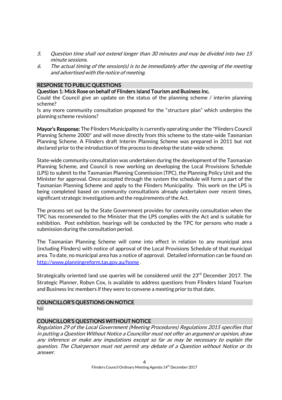- 5. Question time shall not extend longer than 30 minutes and may be divided into two 15 minute sessions.
- 6. The actual timing of the session(s) is to be immediately after the opening of the meeting and advertised with the notice of meeting.

# RESPONSE TO PUBLIC QUESTIONS

#### Question 1: Mick Rose on behalf of Flinders Island Tourism and Business Inc.

Could the Council give an update on the status of the planning scheme / interim planning scheme?

Is any more community consultation proposed for the "structure plan" which underpins the planning scheme revisions?

Mayor's Response: The Flinders Municipality is currently operating under the "Flinders Council Planning Scheme 2000" and will move directly from this scheme to the state-wide Tasmanian Planning Scheme. A Flinders draft Interim Planning Scheme was prepared in 2011 but not declared prior to the introduction of the process to develop the state-wide scheme.

State-wide community consultation was undertaken during the development of the Tasmanian Planning Scheme, and Council is now working on developing the Local Provisions Schedule (LPS) to submit to the Tasmanian Planning Commission (TPC), the Planning Policy Unit and the Minister for approval. Once accepted through the system the schedule will form a part of the Tasmanian Planning Scheme and apply to the Flinders Municipality. This work on the LPS is being completed based on community consultations already undertaken over recent times, significant strategic investigations and the requirements of the Act.

The process set out by the State Government provides for community consultation when the TPC has recommended to the Minister that the LPS complies with the Act and is suitable for exhibition. Post exhibition, hearings will be conducted by the TPC for persons who made a submission during the consultation period.

The Tasmanian Planning Scheme will come into effect in relation to any municipal area (including Flinders) with notice of approval of the Local Provisions Schedule of that municipal area. To date, no municipal area has a notice of approval. Detailed information can be found on <http://www.planningreform.tas.gov.au/home> .

Strategically oriented land use queries will be considered until the 23<sup>rd</sup> December 2017. The Strategic Planner, Robyn Cox, is available to address questions from Flinders Island Tourism and Business Inc members if they were to convene a meeting prior to that date.

#### COUNCILLOR'S QUESTIONS ON NOTICE

Nil

#### COUNCILLOR'S QUESTIONS WITHOUT NOTICE

Regulation 29 of the Local Government (Meeting Procedures) Regulations 2015 specifies that in putting a Question Without Notice a Councillor must not offer an argument or opinion, draw any inference or make any imputations except so far as may be necessary to explain the question. The Chairperson must not permit any debate of a Question without Notice or its answer.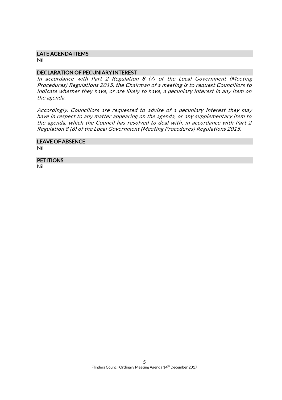#### LATE AGENDA ITEMS

Nil

# DECLARATION OF PECUNIARY INTEREST

In accordance with Part 2 Regulation 8 (7) of the Local Government (Meeting Procedures) Regulations 2015, the Chairman of a meeting is to request Councillors to indicate whether they have, or are likely to have, a pecuniary interest in any item on the agenda.

Accordingly, Councillors are requested to advise of a pecuniary interest they may have in respect to any matter appearing on the agenda, or any supplementary item to the agenda, which the Council has resolved to deal with, in accordance with Part 2 Regulation 8 (6) of the Local Government (Meeting Procedures) Regulations 2015.

# LEAVE OF ABSENCE

Nil

# **PETITIONS**

Nil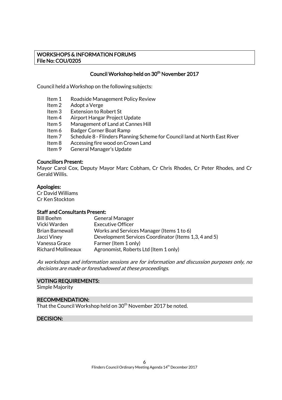#### WORKSHOPS & INFORMATION FORUMS File No: COU/0205

# Council Workshop held on 30<sup>th</sup> November 2017

Council held a Workshop on the following subjects:

- Item 1 Roadside Management Policy Review
- Item 2 Adopt a Verge
- Item 3 Extension to Robert St<br>Item 4 Airport Hangar Project
- Airport Hangar Project Update
- Item 5 Management of Land at Cannes Hill
- Item 6 Badger Corner Boat Ramp
- Item 7 Schedule 8 Flinders Planning Scheme for Council land at North East River
- Item 8 Accessing fire wood on Crown Land
- Item 9 General Manager's Update

#### Councillors Present:

Mayor Carol Cox, Deputy Mayor Marc Cobham, Cr Chris Rhodes, Cr Peter Rhodes, and Cr Gerald Willis.

#### Apologies:

Cr David Williams Cr Ken Stockton

#### Staff and Consultants Present:

| <b>Bill Boehm</b>         | <b>General Manager</b>                                |
|---------------------------|-------------------------------------------------------|
| Vicki Warden              | <b>Executive Officer</b>                              |
| <b>Brian Barnewall</b>    | Works and Services Manager (Items 1 to 6)             |
| Jacci Viney               | Development Services Coordinator (Items 1,3, 4 and 5) |
| Vanessa Grace             | Farmer (Item 1 only)                                  |
| <b>Richard Mollineaux</b> | Agronomist, Roberts Ltd (Item 1 only)                 |

As workshops and information sessions are for information and discussion purposes only, no decisions are made or foreshadowed at these proceedings.

#### VOTING REQUIREMENTS:

Simple Majority

#### RECOMMENDATION:

That the Council Workshop held on 30<sup>th</sup> November 2017 be noted.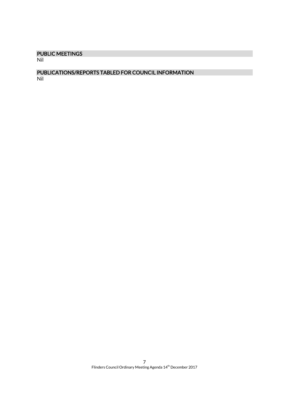# PUBLIC MEETINGS

Nil

# PUBLICATIONS/REPORTS TABLED FOR COUNCIL INFORMATION

Nil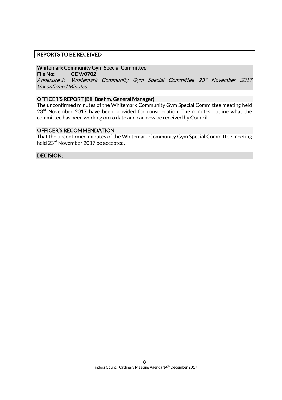## REPORTS TO BE RECEIVED

#### Whitemark Community Gym Special Committee

File No: CDV/0702

Annexure 1: Whitemark Community Gym Special Committee 23<sup>rd</sup> November 2017 Unconfirmed Minutes

#### OFFICER'S REPORT (Bill Boehm, General Manager):

The unconfirmed minutes of the Whitemark Community Gym Special Committee meeting held  $23<sup>rd</sup>$  November 2017 have been provided for consideration. The minutes outline what the committee has been working on to date and can now be received by Council.

#### OFFICER'S RECOMMENDATION

That the unconfirmed minutes of the Whitemark Community Gym Special Committee meeting held 23<sup>rd</sup> November 2017 be accepted.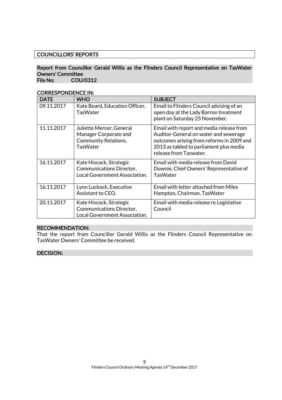# COUNCILLORS' REPORTS

#### Report from Councillor Gerald Willis as the Flinders Council Representative on TasWater Owners' Committee File No: COU/0312

CORRESPONDENCE IN:

| <b>DATE</b> | <b>WHO</b>                                                                                          | <b>SUBJECT</b>                                                                                                                                                                                      |
|-------------|-----------------------------------------------------------------------------------------------------|-----------------------------------------------------------------------------------------------------------------------------------------------------------------------------------------------------|
| 09.11.2017  | Kate Beard, Education Officer,<br><b>TasWater</b>                                                   | Email to Flinders Council advising of an<br>open day at the Lady Barron treatment<br>plant on Saturday 25 November.                                                                                 |
| 11.11.2017  | Juliette Mercer, General<br>Manager Corporate and<br><b>Community Relations,</b><br><b>TasWater</b> | Email with report and media release from<br>Auditor-General on water and sewerage<br>outcomes arising from reforms in 2009 and<br>2013 as tabled to parliament plus media<br>release from Taswater. |
| 16.11.2017  | Kate Hiscock, Strategic<br>Communications Director,<br>Local Government Association.                | Email with media release from David<br>Downie, Chief Owners' Representative of<br><b>TasWater</b>                                                                                                   |
| 16.11.2017  | Lynn Luckock, Executive<br>Assistant to CEO.                                                        | Email with letter attached from Miles<br>Hampton, Chairman, TasWater                                                                                                                                |
| 20.11.2017  | Kate Hiscock, Strategic<br>Communications Director,<br>Local Government Association.                | Email with media release re Legislative<br>Council                                                                                                                                                  |

# RECOMMENDATION:

That the report from Councillor Gerald Willis as the Flinders Council Representative on TasWater Owners' Committee be received.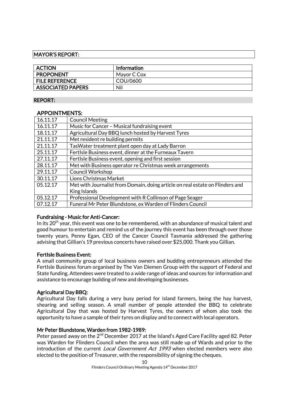## MAYOR'S REPORT:

| <b>ACTION</b>            | <b>Information</b> |
|--------------------------|--------------------|
| <b>PROPONENT</b>         | Mayor C Cox        |
| <b>FILE REFERENCE</b>    | COU/0600           |
| <b>ASSOCIATED PAPERS</b> | Nil                |

#### REPORT:

# APPOINTMENTS:

| 16.11.17 | <b>Council Meeting</b>                                                        |
|----------|-------------------------------------------------------------------------------|
| 16.11.17 | Music for Cancer - Musical fundraising event                                  |
| 18.11.17 | Agricultural Day BBQ lunch hosted by Harvest Tyres                            |
| 21.11.17 | Met resident re building permits                                              |
| 21.11.17 | TasWater treatment plant open day at Lady Barron                              |
| 25.11.17 | FertIsle Business event, dinner at the Furneaux Tavern                        |
| 27.11.17 | FertIsle Business event, opening and first session                            |
| 28.11.17 | Met with Business operator re Christmas week arrangements                     |
| 29.11.17 | Council Workshop                                                              |
| 30.11.17 | Lions Christmas Market                                                        |
| 05.12.17 | Met with Journalist from Domain, doing article on real estate on Flinders and |
|          | King Islands                                                                  |
| 05.12.17 | Professional Development with R Collinson of Page Seager                      |
| 07.12.17 | Funeral Mr Peter Blundstone, ex Warden of Flinders Council                    |

# Fundraising - Music for Anti-Cancer:

In its 20<sup>th</sup> year, this event was one to be remembered, with an abundance of musical talent and good humour to entertain and remind us of the journey this event has been through over those twenty years. Penny Egan, CEO of the Cancer Council Tasmania addressed the gathering advising that Gillian's 19 previous concerts have raised over \$25,000. Thank you Gillian.

#### FertIsle Business Event:

A small community group of local business owners and budding entrepreneurs attended the FertIsle Business forum organised by The Van Diemen Group with the support of Federal and State funding. Attendees were treated to a wide range of ideas and sources for information and assistance to encourage building of new and developing businesses.

#### Agricultural Day BBQ:

Agricultural Day falls during a very busy period for island farmers, being the hay harvest, shearing and selling season. A small number of people attended the BBQ to celebrate Agricultural Day that was hosted by Harvest Tyres, the owners of whom also took the opportunity to have a sample of their tyres on display and to connect with local operators.

# Mr Peter Blundstone, Warden from 1982-1989:

Peter passed away on the 2<sup>nd</sup> December 2017 at the Island's Aged Care Facility aged 82. Peter was Warden for Flinders Council when the area was still made up of Wards and prior to the introduction of the current *Local Government Act 1993* when elected members were also elected to the position of Treasurer, with the responsibility of signing the cheques.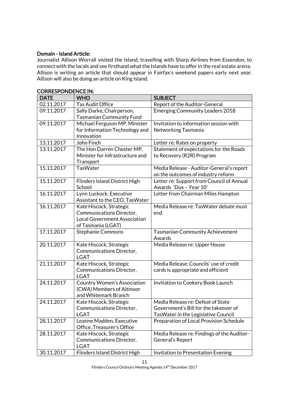## Domain - Island Article:

Journalist Allison Worrall visited the Island, travelling with Sharp Airlines from Essendon, to connect with the locals and see firsthand what the Islands have to offer in the real estate arena. Allison is writing an article that should appear in Fairfax's weekend papers early next year. Allison will also be doing an article on King Island.

| <b>DATE</b> | <b>WHO</b>                           | <b>SUBJECT</b>                             |
|-------------|--------------------------------------|--------------------------------------------|
| 02.11.2017  | <b>Tas Audit Office</b>              | Report of the Auditor-General              |
| 09.11.2017  | Sally Darke, Chairperson,            | <b>Emerging Community Leaders 2018</b>     |
|             | <b>Tasmanian Community Fund</b>      |                                            |
| 09.11.2017  | Michael Ferguson MP, Minister        | Invitation to information session with     |
|             | for Information Technology and       | Networking Tasmania                        |
|             | Innovation                           |                                            |
| 13.11.2017  | John Finch                           | Letter re: Rates on property               |
| 13.11.2017  | The Hon Darren Chester MP,           | Statement of expectations for the Roads    |
|             | Minister for Infrastructure and      | to Recovery (R2R) Program                  |
|             | Transport                            |                                            |
| 15.11.2017  | <b>TasWater</b>                      | Media Release - Auditor-General's report   |
|             |                                      | on the outcomes of industry reform         |
| 15.11.2017  | <b>Flinders Island District High</b> | Letter re: Support from Council of Annual  |
|             | School                               | Awards 'Dux - Year 10'                     |
| 16.11.2017  | Lynn Luckock, Executive              | Letter from Chairman Miles Hampton         |
|             | Assistant to the CEO, TasWater       |                                            |
| 16.11.2017  | Kate Hiscock, Strategic              | Media Release re: TasWater debate must     |
|             | Communications Director,             | end                                        |
|             | <b>Local Government Association</b>  |                                            |
|             | of Tasmania (LGAT)                   |                                            |
| 17.11.2017  | <b>Stephanie Commons</b>             | <b>Tasmanian Community Achievement</b>     |
|             |                                      | Awards                                     |
| 20.11.2017  | Kate Hiscock, Strategic              | Media Release re: Upper House              |
|             | Communications Director,             |                                            |
|             | <b>LGAT</b>                          |                                            |
| 21.11.2017  | Kate Hiscock, Strategic              | Media Release: Councils' use of credit     |
|             | Communications Director,             | cards is appropriate and efficient         |
|             | <b>LGAT</b>                          |                                            |
| 24.11.2017  | <b>Country Women's Association</b>   | Invitation to Cookery Book Launch          |
|             | (CWA) Members of Altmoor             |                                            |
|             | and Whitemark Branch                 |                                            |
| 24.11.2017  | Kate Hiscock, Strategic              | Media Release re: Defeat of State          |
|             | Communications Director,             | Government's Bill for the takeover of      |
|             | <b>LGAT</b>                          | TasWater in the Legislative Council        |
| 28.11.2017  | Leanne Madden, Executive             | Preparation of Local Provision Schedule    |
|             | Office, Treasurer's Office           |                                            |
| 28.11.2017  | Kate Hiscock, Strategic              | Media Release re: Findings of the Auditor- |
|             | Communications Director,             | General's Report                           |
|             | <b>LGAT</b>                          |                                            |
| 30.11.2017  | <b>Flinders Island District High</b> | Invitation to Presentation Evening         |

#### CORRESPONDENCE IN: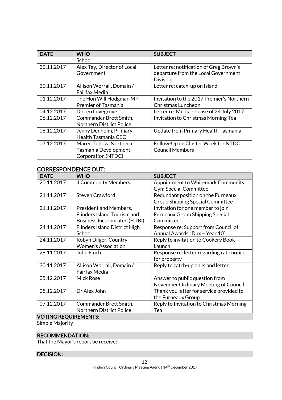| <b>DATE</b> | <b>WHO</b>                                                           | <b>SUBJECT</b>                                                                                    |  |
|-------------|----------------------------------------------------------------------|---------------------------------------------------------------------------------------------------|--|
|             | School                                                               |                                                                                                   |  |
| 30.11.2017  | Alex Tay, Director of Local<br>Government                            | Letter re: notification of Greg Brown's<br>departure from the Local Government<br><b>Division</b> |  |
| 30.11.2017  | Allison Worrall, Domain /<br>Fairfax Media                           | Letter re: catch-up on Island                                                                     |  |
| 01.12.2017  | The Hon Will Hodgman MP,<br><b>Premier of Tasmania</b>               | Invitation to the 2017 Premier's Northern<br>Christmas Luncheon                                   |  |
| 04.12.2017  | D'reen Lovegrove                                                     | Letter re: Media release of 24 July 2017                                                          |  |
| 06.12.2017  | Commander Brett Smith,<br><b>Northern District Police</b>            | Invitation to Christmas Morning Tea                                                               |  |
| 06.12.2017  | Jenny Denholm, Primary<br>Health Tasmania CEO                        | Update from Primary Health Tasmania                                                               |  |
| 07.12.2017  | Maree Tetlow, Northern<br>Tasmania Development<br>Corporation (NTDC) | Follow-Up on Cluster Week for NTDC<br><b>Council Members</b>                                      |  |

# CORRESPONDENCE OUT:

| <b>DATE</b> | <b>WHO</b>                           | <b>SUBJECT</b>                            |
|-------------|--------------------------------------|-------------------------------------------|
| 20.11.2017  | <b>4 Community Members</b>           | Appointment to Whitemark Community        |
|             |                                      | <b>Gym Special Committee</b>              |
| 21.11.2017  | <b>Steven Crawford</b>               | Redundant position on the Furneaux        |
|             |                                      | <b>Group Shipping Special Committee</b>   |
| 21.11.2017  | President and Members,               | Invitation for one member to join         |
|             | <b>Flinders Island Tourism and</b>   | <b>Furneaux Group Shipping Special</b>    |
|             | <b>Business Incorporated (FITBI)</b> | Committee                                 |
| 24.11.2017  | <b>Flinders Island District High</b> | Response re: Support from Council of      |
|             | School                               | Annual Awards 'Dux - Year 10'             |
| 24.11.2017  | Robyn Dilger, Country                | Reply to invitation to Cookery Book       |
|             | <b>Women's Association</b>           | Launch                                    |
| 28.11.2017  | John Finch                           | Response re: letter regarding rate notice |
|             |                                      | for property                              |
| 30.11.2017  | Allison Worrall, Domain /            | Reply to catch-up on Island letter        |
|             | Fairfax Media                        |                                           |
| 05.12.2017  | <b>Mick Rose</b>                     | Answer to public question from            |
|             |                                      | November Ordinary Meeting of Council      |
| 05.12.2017  | Dr Alex John                         | Thank you letter for service provided to  |
|             |                                      | the Furneaux Group                        |
| 07.12.2017  | Commander Brett Smith,               | Reply to Invitation to Christmas Morning  |
|             | <b>Northern District Police</b>      | Tea                                       |

#### VOTING REQUIREMENTS:

Simple Majority

# RECOMMENDATION:

That the Mayor's report be received.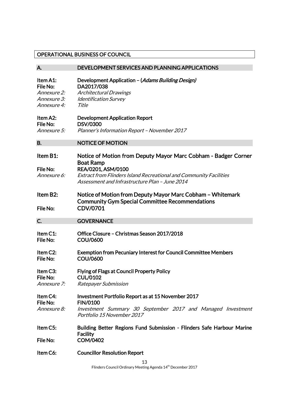# OPERATIONAL BUSINESS OF COUNCIL

| A.                                                                | DEVELOPMENT SERVICES AND PLANNING APPLICATIONS                                                                                                                                                                                          |
|-------------------------------------------------------------------|-----------------------------------------------------------------------------------------------------------------------------------------------------------------------------------------------------------------------------------------|
| Item A1:<br>File No:<br>Annexure 2:<br>Annexure 3:<br>Annexure 4: | Development Application - (Adams Building Design)<br>DA2017/038<br><b>Architectural Drawings</b><br><b>Identification Survey</b><br>Title                                                                                               |
| Item A2:<br>File No:<br>Annexure 5:                               | <b>Development Application Report</b><br><b>DSV/0300</b><br>Planner's Information Report - November 2017                                                                                                                                |
| <b>B.</b>                                                         | <b>NOTICE OF MOTION</b>                                                                                                                                                                                                                 |
| Item B1:<br>File No:<br>Annexure 6:                               | Notice of Motion from Deputy Mayor Marc Cobham - Badger Corner<br><b>Boat Ramp</b><br>REA/0201, ASM/0100<br><b>Extract from Flinders Island Recreational and Community Facilities</b><br>Assessment and Infrastructure Plan - June 2014 |
| Item B2:<br>File No:                                              | Notice of Motion from Deputy Mayor Marc Cobham - Whitemark<br><b>Community Gym Special Committee Recommendations</b><br>CDV/0701                                                                                                        |
| C.                                                                | <b>GOVERNANCE</b>                                                                                                                                                                                                                       |
| Item C1:<br>File No:                                              | Office Closure - Christmas Season 2017/2018<br><b>COU/0600</b>                                                                                                                                                                          |
| Item C2:<br>File No:                                              | <b>Exemption from Pecuniary Interest for Council Committee Members</b><br><b>COU/0600</b>                                                                                                                                               |
| Item C3:<br>File No:<br>Annexure 7:                               | <b>Flying of Flags at Council Property Policy</b><br><b>CUL/0102</b><br>Ratepayer Submission                                                                                                                                            |
| Item C4:<br>File No:<br><i>Annexure 8:</i>                        | Investment Portfolio Report as at 15 November 2017<br><b>FIN/0100</b><br>Investment Summary 30 September 2017 and Managed Investment<br>Portfolio 15 November 2017                                                                      |
| Item C5:                                                          | Building Better Regions Fund Submission - Flinders Safe Harbour Marine                                                                                                                                                                  |
|                                                                   | <b>Facility</b>                                                                                                                                                                                                                         |
| File No:                                                          | <b>COM/0402</b>                                                                                                                                                                                                                         |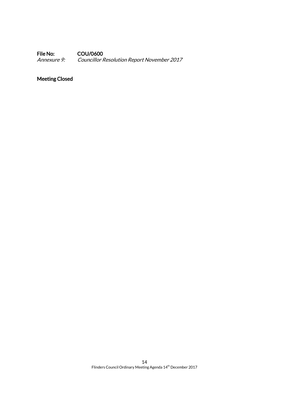File No: COU/0600<br>Annexure 9: Councillor N Councillor Resolution Report November 2017

# Meeting Closed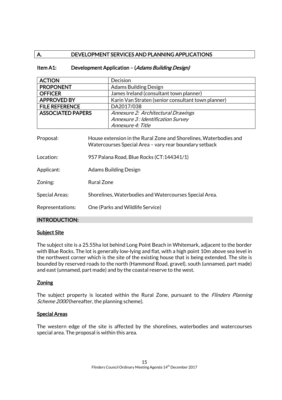# A. DEVELOPMENT SERVICES AND PLANNING APPLICATIONS

# Item A1: Development Application - (Adams Building Design)

| <b>ACTION</b>                        | Decision                                                                                                                                                                                          |                                                    |
|--------------------------------------|---------------------------------------------------------------------------------------------------------------------------------------------------------------------------------------------------|----------------------------------------------------|
| <b>PROPONENT</b>                     | <b>Adams Building Design</b>                                                                                                                                                                      |                                                    |
| <b>OFFICER</b>                       | James Ireland (consultant town planner)                                                                                                                                                           |                                                    |
| <b>APPROVED BY</b>                   |                                                                                                                                                                                                   | Karin Van Straten (senior consultant town planner) |
| <b>FILE REFERENCE</b>                |                                                                                                                                                                                                   | DA2017/038                                         |
| <b>ASSOCIATED PAPERS</b>             |                                                                                                                                                                                                   | Annexure 2: Architectural Drawings                 |
|                                      |                                                                                                                                                                                                   | Annexure 3: Identification Survey                  |
|                                      |                                                                                                                                                                                                   | <i>Annexure 4: Title</i>                           |
| Proposal:<br>Location:<br>Applicant: | House extension in the Rural Zone and Shorelines, Waterbodies and<br>Watercourses Special Area - vary rear boundary setback<br>957 Palana Road, Blue Rocks (CT:144341/1)<br>Adams Building Design |                                                    |
| Zoning:                              | <b>Rural Zone</b>                                                                                                                                                                                 |                                                    |
| <b>Special Areas:</b>                | Shorelines, Waterbodies and Watercourses Special Area.                                                                                                                                            |                                                    |
| Representations:                     | One (Parks and Wildlife Service)                                                                                                                                                                  |                                                    |

# INTRODUCTION:

# **Subject Site**

The subject site is a 25.55ha lot behind Long Point Beach in Whitemark, adjacent to the border with Blue Rocks. The lot is generally low-lying and flat, with a high point 10m above sea level in the northwest corner which is the site of the existing house that is being extended. The site is bounded by reserved roads to the north (Hammond Road, gravel), south (unnamed, part made) and east (unnamed, part made) and by the coastal reserve to the west.

# **Zoning**

The subject property is located within the Rural Zone, pursuant to the *Flinders Planning* Scheme 2000 (hereafter, the planning scheme).

#### Special Areas

The western edge of the site is affected by the shorelines, waterbodies and watercourses special area. The proposal is within this area.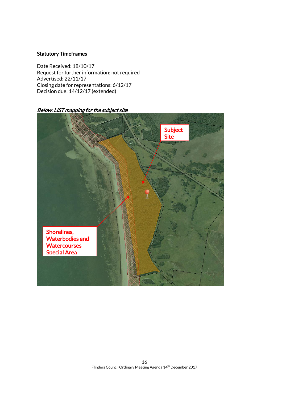## **Statutory Timeframes**

Date Received: 18/10/17 Request for further information: not required Advertised: 22/11/17 Closing date for representations: 6/12/17 Decision due: 14/12/17 (extended)

Below: LIST mapping for the subject site

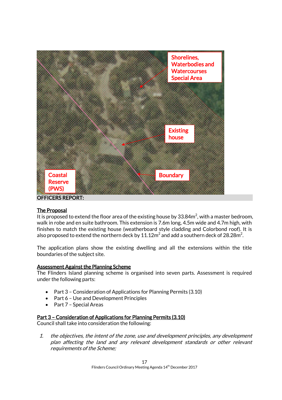

#### The Proposal

It is proposed to extend the floor area of the existing house by 33.84 $m^2$ , with a master bedroom, walk in robe and en suite bathroom. This extension is 7.6m long, 4.5m wide and 4.7m high, with finishes to match the existing house (weatherboard style cladding and Colorbond roof). It is also proposed to extend the northern deck by  $11.12\mathsf{m}^2$  and add a southern deck of 28.28 $\mathsf{m}^2$ .

The application plans show the existing dwelling and all the extensions within the title boundaries of the subject site.

#### Assessment Against the Planning Scheme

The Flinders Island planning scheme is organised into seven parts. Assessment is required under the following parts:

- Part 3 Consideration of Applications for Planning Permits (3.10)
- Part 6 Use and Development Principles
- Part 7 Special Areas

#### Part 3 – Consideration of Applications for Planning Permits (3.10)

Council shall take into consideration the following:

1. the objectives, the intent of the zone, use and development principles, any development plan affecting the land and any relevant development standards or other relevant requirements of the Scheme;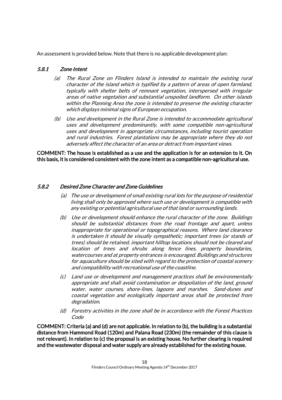An assessment is provided below. Note that there is no applicable development plan:

# 5.8.1 Zone Intent

- (a) The Rural Zone on Flinders Island is intended to maintain the existing rural character of the island which is typified by a pattern of areas of open farmland, typically with shelter belts of remnant vegetation, interspersed with irregular areas of native vegetation and substantial unspoiled landform. On other islands within the Planning Area the zone is intended to preserve the existing character which displays minimal signs of European occupation.
- (b) Use and development in the Rural Zone is intended to accommodate agricultural uses and development predominantly, with some compatible non-agricultural uses and development in appropriate circumstances, including tourist operation and rural industries. Forest plantations may be appropriate where they do not adversely affect the character of an area or detract from important views.

COMMENT: The house is established as a use and the application is for an extension to it. On this basis, it is considered consistent with the zone intent as a compatible non-agricultural use.

# 5.8.2 Desired Zone Character and Zone Guidelines

- (a) The use or development of small existing rural lots for the purpose of residential living shall only be approved where such use or development is compatible with any existing or potential agricultural use of that land or surrounding lands.
- (b) Use or development should enhance the rural character of the zone. Buildings should be substantial distances from the road frontage and apart, unless inappropriate for operational or topographical reasons. Where land clearance is undertaken it should be visually sympathetic; important trees (or stands of trees) should be retained, important hilltop locations should not be cleared and location of trees and shrubs along fence lines, property boundaries, watercourses and at property entrances is encouraged. Buildings and structures for aquaculture should be sited with regard to the protection of coastal scenery and compatibility with recreational use of the coastline.
- (c) Land use or development and management practices shall be environmentally appropriate and shall avoid contamination or despoliation of the land, ground water, water courses, shore-lines, lagoons and marshes. Sand-dunes and coastal vegetation and ecologically important areas shall be protected from degradation.
- (d) Forestry activities in the zone shall be in accordance with the Forest Practices Code

COMMENT: Criteria (a) and (d) are not applicable. In relation to (b), the building is a substantial distance from Hammond Road (120m) and Palana Road (230m) (the remainder of this clause is not relevant). In relation to (c) the proposal is an existing house. No further clearing is required and the wastewater disposal and water supply are already established for the existing house.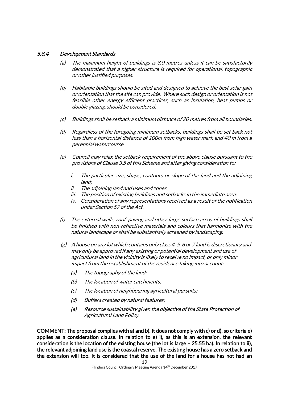# 5.8.4 Development Standards

- (a) The maximum height of buildings is 8.0 metres unless it can be satisfactorily demonstrated that a higher structure is required for operational, topographic or other justified purposes.
- (b) Habitable buildings should be sited and designed to achieve the best solar gain or orientation that the site can provide. Where such design or orientation is not feasible other energy efficient practices, such as insulation, heat pumps or double glazing, should be considered.
- (c) Buildings shall be setback a minimum distance of 20 metres from all boundaries.
- (d) Regardless of the foregoing minimum setbacks, buildings shall be set back not less than a horizontal distance of 100m from high water mark and 40 m from a perennial watercourse.
- (e) Council may relax the setback requirement of the above clause pursuant to the provisions of Clause 3.5 of this Scheme and after giving consideration to:
	- i. The particular size, shape, contours or slope of the land and the adjoining land;
	- ii. The adjoining land and uses and zones
	- iii. The position of existing buildings and setbacks in the immediate area;
	- iv. Consideration of any representations received as a result of the notification under Section 57 of the Act.
- (f) The external walls, roof, paving and other large surface areas of buildings shall be finished with non-reflective materials and colours that harmonise with the natural landscape or shall be substantially screened by landscaping.
- $(g)$  A house on any lot which contains only class 4, 5, 6 or 7 land is discretionary and may only be approved if any existing or potential development and use of agricultural land in the vicinity is likely to receive no impact, or only minor impact from the establishment of the residence taking into account:
	- (a) The topography of the land;
	- (b) The location of water catchments;
	- (c) The location of neighbouring agricultural pursuits;
	- (d) Buffers created by natural features;
	- (e) Resource sustainability given the objective of the State Protection of Agricultural Land Policy.

COMMENT: The proposal complies with a) and b). It does not comply with c) or d), so criteria e) applies as a consideration clause. In relation to e) i), as this is an extension, the relevant consideration is the location of the existing house (the lot is large – 25.55 ha). In relation to ii), the relevant adjoining land use is the coastal reserve. The existing house has a zero setback and the extension will too. It is considered that the use of the land for a house has not had an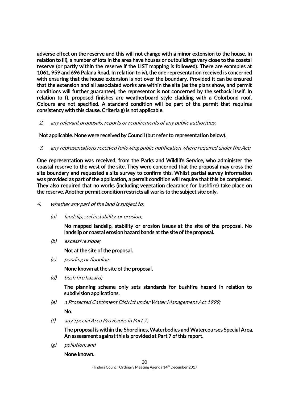adverse effect on the reserve and this will not change with a minor extension to the house. In relation to iii), a number of lots in the area have houses or outbuildings very close to the coastal reserve (or partly within the reserve if the LIST mapping is followed). There are examples at 1061, 959 and 696 Palana Road. In relation to iv), the one representation received is concerned with ensuring that the house extension is not over the boundary. Provided it can be ensured that the extension and all associated works are within the site (as the plans show, and permit conditions will further guarantee), the representor is not concerned by the setback itself. In relation to f), proposed finishes are weatherboard style cladding with a Colorbond roof. Colours are not specified. A standard condition will be part of the permit that requires consistency with this clause. Criteria g) is not applicable.

2. any relevant proposals, reports or requirements of any public authorities;

Not applicable. None were received by Council (but refer to representation below).

3. any representations received following public notification where required under the Act;

One representation was received, from the Parks and Wildlife Service, who administer the coastal reserve to the west of the site. They were concerned that the proposal may cross the site boundary and requested a site survey to confirm this. Whilst partial survey information was provided as part of the application, a permit condition will require that this be completed. They also required that no works (including vegetation clearance for bushfire) take place on the reserve. Another permit condition restricts all works to the subject site only.

- 4. whether any part of the land is subject to:
	- (a) landslip, soil instability, or erosion;

No mapped landslip, stability or erosion issues at the site of the proposal. No landslip or coastal erosion hazard bands at the site of the proposal.

(b) excessive slope;

Not at the site of the proposal.

(c) ponding or flooding;

None known at the site of the proposal.

(d) bush fire hazard;

The planning scheme only sets standards for bushfire hazard in relation to subdivision applications.

(e) a Protected Catchment District under Water Management Act 1999;

No.

(f) any Special Area Provisions in Part 7;

The proposal is within the Shorelines, Waterbodies and Watercourses Special Area. An assessment against this is provided at Part 7 of this report.

(g) pollution; and

None known.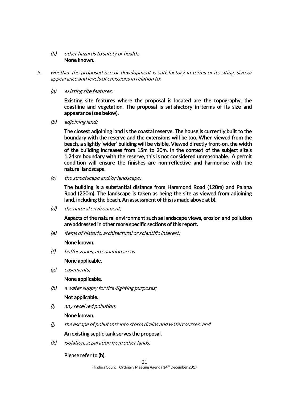#### (h) other hazards to safety or health. None known.

- 5. whether the proposed use or development is satisfactory in terms of its siting, size or appearance and levels of emissions in relation to:
	- (a) existing site features;

Existing site features where the proposal is located are the topography, the coastline and vegetation. The proposal is satisfactory in terms of its size and appearance (see below).

(b) adjoining land;

The closest adjoining land is the coastal reserve. The house is currently built to the boundary with the reserve and the extensions will be too. When viewed from the beach, a slightly 'wider' building will be visible. Viewed directly front-on, the width of the building increases from 15m to 20m. In the context of the subject site's 1.24km boundary with the reserve, this is not considered unreasonable. A permit condition will ensure the finishes are non-reflective and harmonise with the natural landscape.

(c) the streetscape and/or landscape;

The building is a substantial distance from Hammond Road (120m) and Palana Road (230m). The landscape is taken as being the site as viewed from adjoining land, including the beach. An assessment of this is made above at b).

(d) the natural environment;

Aspects of the natural environment such as landscape views, erosion and pollution are addressed in other more specific sections of this report.

(e) items of historic, architectural or scientific interest;

#### None known.

(f) buffer zones, attenuation areas

#### None applicable.

(g) easements;

#### None applicable.

(h) a water supply for fire-fighting purposes;

# Not applicable.

(i) any received pollution;

#### None known.

 $(i)$  the escape of pollutants into storm drains and watercourses: and

#### An existing septic tank serves the proposal.

(k) isolation, separation from other lands.

#### Please refer to (b).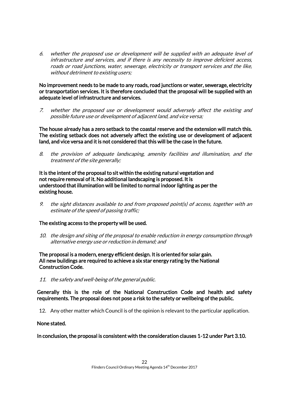6. whether the proposed use or development will be supplied with an adequate level of infrastructure and services, and if there is any necessity to improve deficient access, roads or road junctions, water, sewerage, electricity or transport services and the like, without detriment to existing users;

#### No improvement needs to be made to any roads, road junctions or water, sewerage, electricity or transportation services. It is therefore concluded that the proposal will be supplied with an adequate level of infrastructure and services.

7. whether the proposed use or development would adversely affect the existing and possible future use or development of adjacent land, and vice versa;

The house already has a zero setback to the coastal reserve and the extension will match this. The existing setback does not adversely affect the existing use or development of adjacent land, and vice versa and it is not considered that this will be the case in the future.

8. the provision of adequate landscaping, amenity facilities and illumination, and the treatment of the site generally;

It is the intent of the proposal to sit within the existing natural vegetation and not require removal of it. No additional landscaping is proposed. It is understood that illumination will be limited to normal indoor lighting as per the existing house.

9. the sight distances available to and from proposed point(s) of access, together with an estimate of the speed of passing traffic;

# The existing access to the property will be used.

10. the design and siting of the proposal to enable reduction in energy consumption through alternative energy use or reduction in demand; and

The proposal is a modern, energy efficient design. It is oriented for solar gain. All new buildings are required to achieve a six star energy rating by the National Construction Code.

11. the safety and well-being of the general public.

Generally this is the role of the National Construction Code and health and safety requirements. The proposal does not pose a risk to the safety or wellbeing of the public.

12. Any other matter which Council is of the opinion is relevant to the particular application.

#### None stated.

In conclusion, the proposal is consistent with the consideration clauses 1-12 under Part 3.10.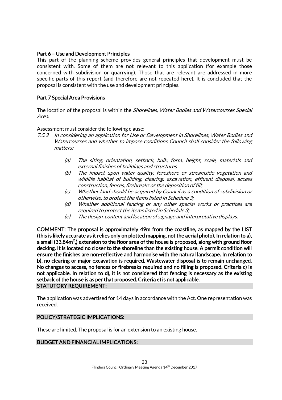# Part 6 – Use and Development Principles

This part of the planning scheme provides general principles that development must be consistent with. Some of them are not relevant to this application (for example those concerned with subdivision or quarrying). Those that are relevant are addressed in more specific parts of this report (and therefore are not repeated here). It is concluded that the proposal is consistent with the use and development principles.

# Part 7 Special Area Provisions

The location of the proposal is within the *Shorelines, Water Bodies and Watercourses Special* Area.

Assessment must consider the following clause:

- 7.5.3 In considering an application for Use or Development in Shorelines, Water Bodies and Watercourses and whether to impose conditions Council shall consider the following matters:
	- (a) The siting, orientation, setback, bulk, form, height, scale, materials and external finishes of buildings and structures
	- (b) The impact upon water quality, foreshore or streamside vegetation and wildlife habitat of building, clearing, excavation, effluent disposal, access construction, fences, firebreaks or the deposition of fill;
	- (c) Whether land should be acquired by Council as a condition of subdivision or otherwise, to protect the items listed in Schedule 3;
	- (d) Whether additional fencing or any other special works or practices are required to protect the items listed in Schedule 3;
	- (e) The design, content and location of signage and interpretative displays.

COMMENT: The proposal is approximately 49m from the coastline, as mapped by the LIST (this is likely accurate as it relies only on plotted mapping, not the aerial photo). In relation to a), a small (33.84m $^2$ ,) extension to the floor area of the house is proposed, along with ground floor decking. It is located no closer to the shoreline than the existing house. A permit condition will ensure the finishes are non-reflective and harmonise with the natural landscape. In relation to b), no clearing or major excavation is required. Wastewater disposal is to remain unchanged. No changes to access, no fences or firebreaks required and no filling is proposed. Criteria c) is not applicable. In relation to d), it is not considered that fencing is necessary as the existing setback of the house is as per that proposed. Criteria e) is not applicable. STATUTORY REQUIREMENT:

The application was advertised for 14 days in accordance with the Act. One representation was received.

#### POLICY/STRATEGIC IMPLICATIONS:

These are limited. The proposal is for an extension to an existing house.

#### BUDGET AND FINANCIAL IMPLICATIONS: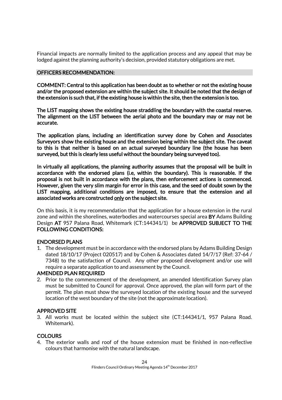Financial impacts are normally limited to the application process and any appeal that may be lodged against the planning authority's decision, provided statutory obligations are met.

## OFFICERS RECOMMENDATION:

COMMENT: Central to this application has been doubt as to whether or not the existing house and/or the proposed extension are within the subject site. It should be noted that the design of the extension is such that, if the existing house is within the site, then the extension is too.

The LIST mapping shows the existing house straddling the boundary with the coastal reserve. The alignment on the LIST between the aerial photo and the boundary may or may not be accurate.

The application plans, including an identification survey done by Cohen and Associates Surveyors show the existing house and the extension being within the subject site. The caveat to this is that neither is based on an actual surveyed boundary line (the house has been surveyed, but this is clearly less useful without the boundary being surveyed too).

In virtually all applications, the planning authority assumes that the proposal will be built in accordance with the endorsed plans (i.e, within the boundary). This is reasonable. If the proposal is not built in accordance with the plans, then enforcement actions is commenced. However, given the very slim margin for error in this case, and the seed of doubt sown by the LIST mapping, additional conditions are imposed, to ensure that the extension and all associated works are constructed only on the subject site.

On this basis, it is my recommendation that the application for a house extension in the rural zone and within the shorelines, waterbodies and watercourses special area BY Adams Building Design AT 957 Palana Road, Whitemark (CT:144341/1) be APPROVED SUBJECT TO THE FOLLOWING CONDITIONS:

# ENDORSED PLANS

1. The development must be in accordance with the endorsed plans by Adams Building Design dated 18/10/17 (Project 020517) and by Cohen & Associates dated 14/7/17 (Ref: 37-64 / 7348) to the satisfaction of Council. Any other proposed development and/or use will require a separate application to and assessment by the Council.

#### AMENDED PLAN REQUIRED

2. Prior to the commencement of the development, an amended Identification Survey plan must be submitted to Council for approval. Once approved, the plan will form part of the permit. The plan must show the surveyed location of the existing house and the surveyed location of the west boundary of the site (not the approximate location).

#### APPROVED SITE

3. All works must be located within the subject site (CT:144341/1, 957 Palana Road. Whitemark).

# **COLOURS**

4. The exterior walls and roof of the house extension must be finished in non-reflective colours that harmonise with the natural landscape.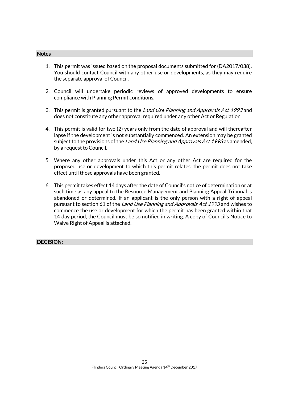#### **Notes**

- 1. This permit was issued based on the proposal documents submitted for (DA2017/038). You should contact Council with any other use or developments, as they may require the separate approval of Council.
- 2. Council will undertake periodic reviews of approved developments to ensure compliance with Planning Permit conditions.
- 3. This permit is granted pursuant to the *Land Use Planning and Approvals Act 1993* and does not constitute any other approval required under any other Act or Regulation.
- 4. This permit is valid for two (2) years only from the date of approval and will thereafter lapse if the development is not substantially commenced. An extension may be granted subject to the provisions of the Land Use Planning and Approvals Act 1993 as amended, by a request to Council.
- 5. Where any other approvals under this Act or any other Act are required for the proposed use or development to which this permit relates, the permit does not take effect until those approvals have been granted.
- 6. This permit takes effect 14 days after the date of Council's notice of determination or at such time as any appeal to the Resource Management and Planning Appeal Tribunal is abandoned or determined. If an applicant is the only person with a right of appeal pursuant to section 61 of the Land Use Planning and Approvals Act 1993 and wishes to commence the use or development for which the permit has been granted within that 14 day period, the Council must be so notified in writing. A copy of Council's Notice to Waive Right of Appeal is attached.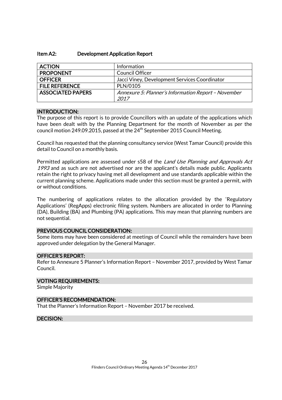#### Item A2: Development Application Report

| <b>ACTION</b>            | Information                                                 |
|--------------------------|-------------------------------------------------------------|
| <b>PROPONENT</b>         | <b>Council Officer</b>                                      |
| <b>OFFICER</b>           | Jacci Viney, Development Services Coordinator               |
| <b>FILE REFERENCE</b>    | PLN/0105                                                    |
| <b>ASSOCIATED PAPERS</b> | Annexure 5: Planner's Information Report - November<br>2017 |

#### INTRODUCTION:

The purpose of this report is to provide Councillors with an update of the applications which have been dealt with by the Planning Department for the month of November as per the council motion 249.09.2015, passed at the  $24<sup>th</sup>$  September 2015 Council Meeting.

Council has requested that the planning consultancy service (West Tamar Council) provide this detail to Council on a monthly basis.

Permitted applications are assessed under s58 of the Land Use Planning and Approvals Act 1993 and as such are not advertised nor are the applicant's details made public. Applicants retain the right to privacy having met all development and use standards applicable within the current planning scheme. Applications made under this section must be granted a permit, with or without conditions.

The numbering of applications relates to the allocation provided by the 'Regulatory Applications' (RegApps) electronic filing system. Numbers are allocated in order to Planning (DA), Building (BA) and Plumbing (PA) applications. This may mean that planning numbers are not sequential.

#### PREVIOUS COUNCIL CONSIDERATION:

Some items may have been considered at meetings of Council while the remainders have been approved under delegation by the General Manager.

#### OFFICER'S REPORT:

Refer to Annexure 5 Planner's Information Report – November 2017, provided by West Tamar Council.

# VOTING REQUIREMENTS:

Simple Majority

#### OFFICER'S RECOMMENDATION:

That the Planner's Information Report – November 2017 be received.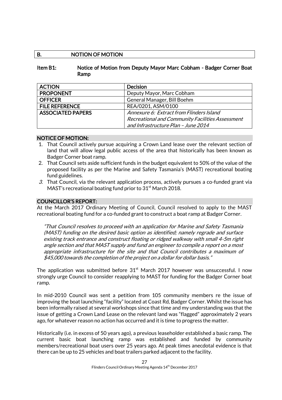# B. NOTION OF MOTION

Item B1: Notice of Motion from Deputy Mayor Marc Cobham - Badger Corner Boat Ramp

| <b>ACTION</b>            | <b>Decision</b>                                  |  |
|--------------------------|--------------------------------------------------|--|
| <b>PROPONENT</b>         | Deputy Mayor, Marc Cobham                        |  |
| <b>OFFICER</b>           | General Manager, Bill Boehm                      |  |
| <b>FILE REFERENCE</b>    | REA/0201, ASM/0100                               |  |
| <b>ASSOCIATED PAPERS</b> | Annexure 6: Extract from Flinders Island         |  |
|                          | Recreational and Community Facilities Assessment |  |
|                          | and Infrastructure Plan - June 2014              |  |

#### NOTICE OF MOTION:

- 1. That Council actively pursue acquiring a Crown Land lease over the relevant section of land that will allow legal public access of the area that historically has been known as Badger Corner boat ramp.
- 2. That Council sets aside sufficient funds in the budget equivalent to 50% of the value of the proposed facility as per the Marine and Safety Tasmania's (MAST) recreational boating fund guidelines.
- 3. That Council, via the relevant application process, actively pursues a co-funded grant via MAST's recreational boating fund prior to  $31<sup>st</sup>$  March 2018.

#### COUNCILLOR'S REPORT:

At the March 2017 Ordinary Meeting of Council, Council resolved to apply to the MAST recreational boating fund for a co-funded grant to construct a boat ramp at Badger Corner.

"That Council resolves to proceed with an application for Marine and Safety Tasmania (MAST) funding on the desired basic option as identified; namely regrade and surface existing track entrance and construct floating or ridged walkway with small 4-5m right angle section and that MAST supply and fund an engineer to compile a report on a most appropriate infrastructure for the site and that Council contributes a maximum of \$45,000 towards the completion of the project on a dollar for dollar basis."

The application was submitted before  $31<sup>st</sup>$  March 2017 however was unsuccessful. I now strongly urge Council to consider reapplying to MAST for funding for the Badger Corner boat ramp.

In mid-2010 Council was sent a petition from 105 community members re the issue of improving the boat launching "facility" located at Coast Rd, Badger Corner. Whilst the issue has been informally raised at several workshops since that time and my understanding was that the issue of getting a Crown Land Lease on the relevant land was "flagged" approximately 2 years ago, for whatever reason no action has occurred and it is time to progress the matter.

Historically (i.e. in excess of 50 years ago), a previous leaseholder established a basic ramp. The current basic boat launching ramp was established and funded by community members/recreational boat users over 25 years ago. At peak times anecdotal evidence is that there can be up to 25 vehicles and boat trailers parked adjacent to the facility.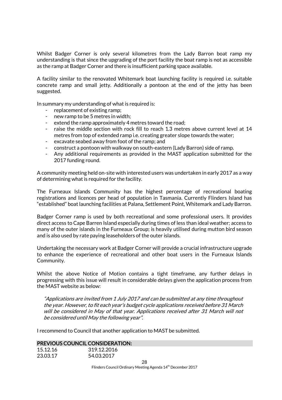Whilst Badger Corner is only several kilometres from the Lady Barron boat ramp my understanding is that since the upgrading of the port facility the boat ramp is not as accessible as the ramp at Badger Corner and there is insufficient parking space available.

A facility similar to the renovated Whitemark boat launching facility is required i.e. suitable concrete ramp and small jetty. Additionally a pontoon at the end of the jetty has been suggested.

In summary my understanding of what is required is:

- replacement of existing ramp;
- new ramp to be 5 metres in width;
- extend the ramp approximately 4 metres toward the road;
- raise the middle section with rock fill to reach 1.3 metres above current level at 14 metres from top of extended ramp i.e. creating greater slope towards the water;
- excavate seabed away from foot of the ramp; and
- construct a pontoon with walkway on south-eastern (Lady Barron) side of ramp.
- Any additional requirements as provided in the MAST application submitted for the 2017 funding round.

A community meeting held on-site with interested users was undertaken in early 2017 as a way of determining what is required for the facility.

The Furneaux Islands Community has the highest percentage of recreational boating registrations and licences per head of population in Tasmania. Currently Flinders Island has "established" boat launching facilities at Palana, Settlement Point, Whitemark and Lady Barron.

Badger Corner ramp is used by both recreational and some professional users. It provides direct access to Cape Barren Island especially during times of less than ideal weather; access to many of the outer islands in the Furneaux Group; is heavily utilised during mutton bird season and is also used by rate paying leaseholders of the outer islands.

Undertaking the necessary work at Badger Corner will provide a crucial infrastructure upgrade to enhance the experience of recreational and other boat users in the Furneaux Islands Community.

Whilst the above Notice of Motion contains a tight timeframe, any further delays in progressing with this issue will result in considerable delays given the application process from the MAST website as below:

"Applications are invited from 1 July 2017 and can be submitted at any time throughout the year. However, to fit each year's budget cycle applications received before 31 March will be considered in May of that year. Applications received after 31 March will not be considered until May the following year".

I recommend to Council that another application to MAST be submitted.

#### PREVIOUS COUNCIL CONSIDERATION:

| 15.12.16 | 319.12.2016 |
|----------|-------------|
| 23.03.17 | 54.03.2017  |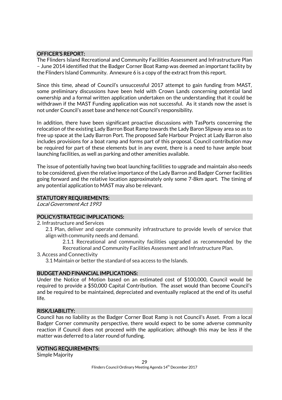# OFFICER'S REPORT:

The Flinders Island Recreational and Community Facilities Assessment and Infrastructure Plan – June 2014 identified that the Badger Corner Boat Ramp was deemed an important facility by the Flinders Island Community. Annexure 6 is a copy of the extract from this report.

Since this time, ahead of Council's unsuccessful 2017 attempt to gain funding from MAST, some preliminary discussions have been held with Crown Lands concerning potential land ownership and a formal written application undertaken on the understanding that it could be withdrawn if the MAST Funding application was not successful. As it stands now the asset is not under Council's asset base and hence not Council's responsibility.

In addition, there have been significant proactive discussions with TasPorts concerning the relocation of the existing Lady Barron Boat Ramp towards the Lady Baron Slipway area so as to free up space at the Lady Barron Port. The proposed Safe Harbour Project at Lady Barron also includes provisions for a boat ramp and forms part of this proposal. Council contribution may be required for part of these elements but in any event, there is a need to have ample boat launching facilities, as well as parking and other amenities available.

The issue of potentially having two boat launching facilities to upgrade and maintain also needs to be considered, given the relative importance of the Lady Barron and Badger Corner facilities going forward and the relative location approximately only some 7-8km apart. The timing of any potential application to MAST may also be relevant.

# STATUTORY REQUIREMENTS:

Local Government Act 1993

# POLICY/STRATEGIC IMPLICATIONS:

- 2. Infrastructure and Services
	- 2.1 Plan, deliver and operate community infrastructure to provide levels of service that align with community needs and demand.

2.1.1 Recreational and community facilities upgraded as recommended by the Recreational and Community Facilities Assessment and Infrastructure Plan.

3. Access and Connectivity

3.1 Maintain or better the standard of sea access to the Islands.

## BUDGET AND FINANCIAL IMPLICATIONS:

Under the Notice of Motion based on an estimated cost of \$100,000, Council would be required to provide a \$50,000 Capital Contribution. The asset would than become Council's and be required to be maintained, depreciated and eventually replaced at the end of its useful life.

#### RISK/LIABILITY:

Council has no liability as the Badger Corner Boat Ramp is not Council's Asset. From a local Badger Corner community perspective, there would expect to be some adverse community reaction if Council does not proceed with the application; although this may be less if the matter was deferred to a later round of funding.

#### VOTING REQUIREMENTS:

Simple Majority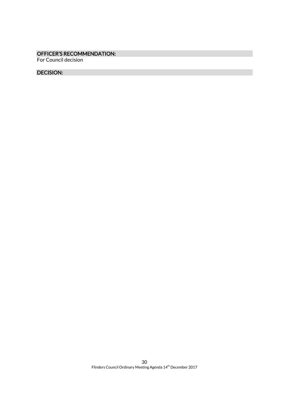# OFFICER'S RECOMMENDATION:

For Council decision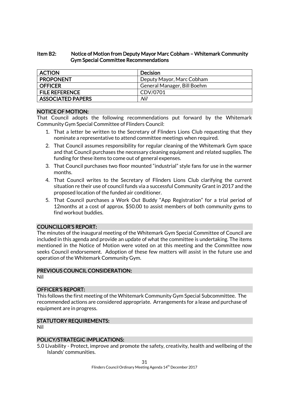# Item B2: Notice of Motion from Deputy Mayor Marc Cobham – Whitemark Community Gym Special Committee Recommendations

| <b>ACTION</b>            | <b>Decision</b>             |
|--------------------------|-----------------------------|
| <b>PROPONENT</b>         | Deputy Mayor, Marc Cobham   |
| <b>OFFICER</b>           | General Manager, Bill Boehm |
| <b>FILE REFERENCE</b>    | CDV/0701                    |
| <b>ASSOCIATED PAPERS</b> | Nil                         |

#### NOTICE OF MOTION:

That Council adopts the following recommendations put forward by the Whitemark Community Gym Special Committee of Flinders Council:

- 1. That a letter be written to the Secretary of Flinders Lions Club requesting that they nominate a representative to attend committee meetings when required.
- 2. That Council assumes responsibility for regular cleaning of the Whitemark Gym space and that Council purchases the necessary cleaning equipment and related supplies. The funding for these items to come out of general expenses.
- 3. That Council purchases two floor mounted "industrial" style fans for use in the warmer months.
- 4. That Council writes to the Secretary of Flinders Lions Club clarifying the current situation re their use of council funds via a successful Community Grant in 2017 and the proposed location of the funded air conditioner.
- 5. That Council purchases a Work Out Buddy "App Registration" for a trial period of 12months at a cost of approx. \$50.00 to assist members of both community gyms to find workout buddies.

#### COUNCILLOR'S REPORT:

The minutes of the inaugural meeting of the Whitemark Gym Special Committee of Council are included in this agenda and provide an update of what the committee is undertaking. The items mentioned in the Notice of Motion were voted on at this meeting and the Committee now seeks Council endorsement. Adoption of these few matters will assist in the future use and operation of the Whitemark Community Gym.

#### PREVIOUS COUNCIL CONSIDERATION:

Nil

#### OFFICER'S REPORT:

This follows the first meeting of the Whitemark Community Gym Special Subcommittee. The recommended actions are considered appropriate. Arrangements for a lease and purchase of equipment are in progress.

#### STATUTORY REQUIREMENTS:

Nil

# POLICY/STRATEGIC IMPLICATIONS:

5.0 Livability - Protect, improve and promote the safety, creativity, health and wellbeing of the Islands' communities.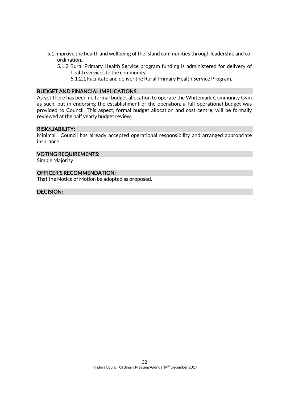- 5.1 Improve the health and wellbeing of the Island communities through leadership and coordination.
	- 5.1.2 Rural Primary Health Service program funding is administered for delivery of health services to the community.
		- 5.1.2.1 Facilitate and deliver the Rural Primary Health Service Program.

#### BUDGET AND FINANCIAL IMPLICATIONS:

As yet there has been no formal budget allocation to operate the Whitemark Community Gym as such, but in endorsing the establishment of the operation, a full operational budget was provided to Council. This aspect, formal budget allocation and cost centre, will be formally reviewed at the half yearly budget review.

#### RISK/LIABILITY:

Minimal. Council has already accepted operational responsibility and arranged appropriate insurance.

#### VOTING REQUIREMENTS:

Simple Majority

#### OFFICER'S RECOMMENDATION:

That the Notice of Motion be adopted as proposed.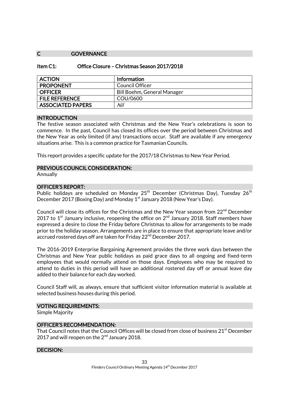#### C **GOVERNANCE**

| <b>ACTION</b>            | <b>Information</b>          |
|--------------------------|-----------------------------|
| <b>PROPONENT</b>         | Council Officer             |
| <b>OFFICER</b>           | Bill Boehm, General Manager |
| <b>FILE REFERENCE</b>    | COU/0600                    |
| <b>ASSOCIATED PAPERS</b> | Nil                         |

#### INTRODUCTION

The festive season associated with Christmas and the New Year's celebrations is soon to commence. In the past, Council has closed its offices over the period between Christmas and the New Year as only limited (if any) transactions occur. Staff are available if any emergency situations arise. This is a common practice for Tasmanian Councils.

This report provides a specific update for the 2017/18 Christmas to New Year Period.

#### PREVIOUS COUNCIL CONSIDERATION:

Annually

#### OFFICER'S REPORT:

Public holidays are scheduled on Monday 25<sup>th</sup> December (Christmas Day), Tuesdav 26<sup>th</sup> December 2017 (Boxing Day) and Monday 1<sup>st</sup> January 2018 (New Year's Day).

Council will close its offices for the Christmas and the New Year season from 22<sup>nd</sup> December 2017 to 1<sup>st</sup> January inclusive, reopening the office on  $2^{nd}$  January 2018. Staff members have expressed a desire to close the Friday before Christmas to allow for arrangements to be made prior to the holiday season. Arrangements are in place to ensure that appropriate leave and/or accrued rostered days off are taken for Friday 22<sup>nd</sup> December 2017.

The 2016-2019 Enterprise Bargaining Agreement provides the three work days between the Christmas and New Year public holidays as paid grace days to all ongoing and fixed-term employees that would normally attend on those days. Employees who may be required to attend to duties in this period will have an additional rostered day off or annual leave day added to their balance for each day worked.

Council Staff will, as always, ensure that sufficient visitor information material is available at selected business houses during this period.

#### VOTING REQUIREMENTS:

Simple Majority

#### OFFICER'S RECOMMENDATION:

That Council notes that the Council Offices will be closed from close of business 21<sup>st</sup> December 2017 and will reopen on the  $2<sup>nd</sup>$  January 2018.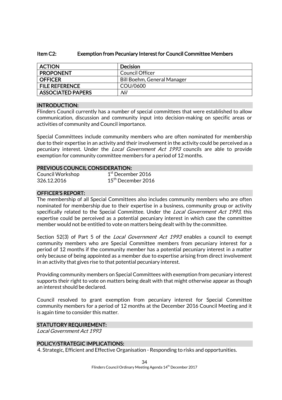#### Item C2: Exemption from Pecuniary Interest for Council Committee Members

| <b>ACTION</b>            | <b>Decision</b>             |
|--------------------------|-----------------------------|
| <b>PROPONENT</b>         | Council Officer             |
| <b>OFFICER</b>           | Bill Boehm, General Manager |
| <b>FILE REFERENCE</b>    | COU/0600                    |
| <b>ASSOCIATED PAPERS</b> | Nil                         |

#### INTRODUCTION:

Flinders Council currently has a number of special committees that were established to allow communication, discussion and community input into decision-making on specific areas or activities of community and Council importance.

Special Committees include community members who are often nominated for membership due to their expertise in an activity and their involvement in the activity could be perceived as a pecuniary interest. Under the Local Government Act 1993 councils are able to provide exemption for community committee members for a period of 12 months.

#### PREVIOUS COUNCIL CONSIDERATION:

| Council Workshop | $1st$ December 2016  |
|------------------|----------------------|
| 326.12.2016      | $15th$ December 2016 |

#### OFFICER'S REPORT:

The membership of all Special Committees also includes community members who are often nominated for membership due to their expertise in a business, community group or activity specifically related to the Special Committee. Under the *Local Government Act 1993*, this expertise could be perceived as a potential pecuniary interest in which case the committee member would not be entitled to vote on matters being dealt with by the committee.

Section 52(3) of Part 5 of the *Local Government Act 1993* enables a council to exempt community members who are Special Committee members from pecuniary interest for a period of 12 months if the community member has a potential pecuniary interest in a matter only because of being appointed as a member due to expertise arising from direct involvement in an activity that gives rise to that potential pecuniary interest.

Providing community members on Special Committees with exemption from pecuniary interest supports their right to vote on matters being dealt with that might otherwise appear as though an interest should be declared.

Council resolved to grant exemption from pecuniary interest for Special Committee community members for a period of 12 months at the December 2016 Council Meeting and it is again time to consider this matter.

#### STATUTORY REQUIREMENT:

Local Government Act 1993

# POLICY/STRATEGIC IMPLICATIONS:

4. Strategic, Efficient and Effective Organisation - Responding to risks and opportunities.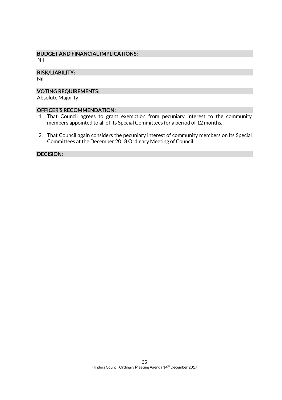# BUDGET AND FINANCIAL IMPLICATIONS:

Nil

#### RISK/LIABILITY:

Nil

#### VOTING REQUIREMENTS:

Absolute Majority

### OFFICER'S RECOMMENDATION:

- 1. That Council agrees to grant exemption from pecuniary interest to the community members appointed to all of its Special Committees for a period of 12 months.
- 2. That Council again considers the pecuniary interest of community members on its Special Committees at the December 2018 Ordinary Meeting of Council.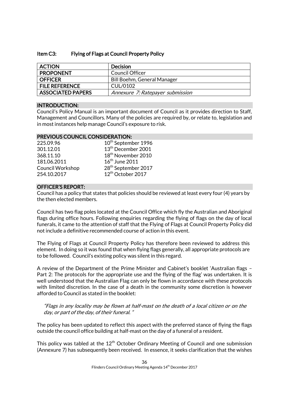## Item C3: Flying of Flags at Council Property Policy

| <b>ACTION</b>            | <b>Decision</b>                  |
|--------------------------|----------------------------------|
| <b>PROPONENT</b>         | Council Officer                  |
| <b>OFFICER</b>           | Bill Boehm, General Manager      |
| <b>FILE REFERENCE</b>    | CUL/0102                         |
| <b>ASSOCIATED PAPERS</b> | Annexure 7: Ratepayer submission |

# INTRODUCTION:

Council's Policy Manual is an important document of Council as it provides direction to Staff, Management and Councillors. Many of the policies are required by, or relate to, legislation and in most instances help manage Council's exposure to risk.

# PREVIOUS COUNCIL CONSIDERATION:

| 225.09.96               |  |
|-------------------------|--|
| 301.12.01               |  |
| 368.11.10               |  |
| 181.06.2011             |  |
| <b>Council Workshop</b> |  |
| 254.10.2017             |  |

10<sup>th</sup> September 1996  $13<sup>th</sup>$  December 2001  $18<sup>th</sup>$  November 2010  $16^{\text{th}}$  June 2011 28<sup>th</sup> September 2017 12<sup>th</sup> October 2017

# OFFICER'S REPORT:

Council has a policy that states that policies should be reviewed at least every four (4) years by the then elected members.

Council has two flag poles located at the Council Office which fly the Australian and Aboriginal flags during office hours. Following enquiries regarding the flying of flags on the day of local funerals, it came to the attention of staff that the Flying of Flags at Council Property Policy did not include a definitive recommended course of action in this event.

The Flying of Flags at Council Property Policy has therefore been reviewed to address this element. In doing so it was found that when flying flags generally, all appropriate protocols are to be followed. Council's existing policy was silent in this regard.

A review of the Department of the Prime Minister and Cabinet's booklet 'Australian flags – Part 2: The protocols for the appropriate use and the flying of the flag' was undertaken. It is well understood that the Australian Flag can only be flown in accordance with these protocols with limited discretion. In the case of a death in the community some discretion is however afforded to Council as stated in the booklet:

"Flags in any locality may be flown at half-mast on the death of a local citizen or on the day, or part of the day, of their funeral. "

The policy has been updated to reflect this aspect with the preferred stance of flying the flags outside the council office building at half-mast on the day of a funeral of a resident.

This policy was tabled at the  $12<sup>th</sup>$  October Ordinary Meeting of Council and one submission (Annexure 7) has subsequently been received. In essence, it seeks clarification that the wishes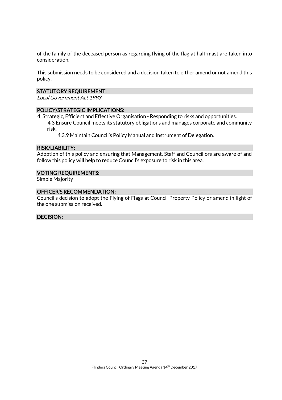of the family of the deceased person as regarding flying of the flag at half-mast are taken into consideration.

This submission needs to be considered and a decision taken to either amend or not amend this policy.

#### STATUTORY REQUIREMENT:

Local Government Act 1993

# POLICY/STRATEGIC IMPLICATIONS:

4. Strategic, Efficient and Effective Organisation - Responding to risks and opportunities.

4.3 Ensure Council meets its statutory obligations and manages corporate and community risk.

4.3.9 Maintain Council's Policy Manual and Instrument of Delegation.

#### RISK/LIABILITY:

Adoption of this policy and ensuring that Management, Staff and Councillors are aware of and follow this policy will help to reduce Council's exposure to risk in this area.

#### VOTING REQUIREMENTS:

Simple Majority

#### OFFICER'S RECOMMENDATION:

Council's decision to adopt the Flying of Flags at Council Property Policy or amend in light of the one submission received.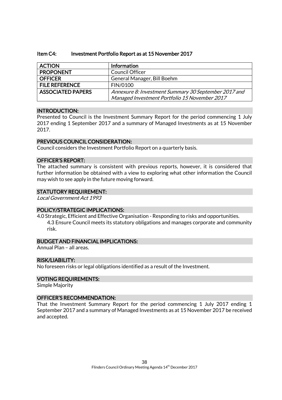#### Item C4: Investment Portfolio Report as at 15 November 2017

| <b>ACTION</b>            | Information                                          |
|--------------------------|------------------------------------------------------|
| <b>PROPONENT</b>         | <b>Council Officer</b>                               |
| <b>OFFICER</b>           | General Manager, Bill Boehm                          |
| <b>FILE REFERENCE</b>    | FIN/0100                                             |
| <b>ASSOCIATED PAPERS</b> | Annexure 8: Investment Summary 30 September 2017 and |
|                          | Managed Investment Portfolio 15 November 2017        |

#### INTRODUCTION:

Presented to Council is the Investment Summary Report for the period commencing 1 July 2017 ending 1 September 2017 and a summary of Managed Investments as at 15 November 2017.

#### PREVIOUS COUNCIL CONSIDERATION:

Council considers the Investment Portfolio Report on a quarterly basis.

#### OFFICER'S REPORT:

The attached summary is consistent with previous reports, however, it is considered that further information be obtained with a view to exploring what other information the Council may wish to see apply in the future moving forward.

#### STATUTORY REQUIREMENT:

Local Government Act 1993

#### POLICY/STRATEGIC IMPLICATIONS:

4.0 Strategic, Efficient and Effective Organisation - Responding to risks and opportunities. 4.3 Ensure Council meets its statutory obligations and manages corporate and community risk.

#### BUDGET AND FINANCIAL IMPLICATIONS:

Annual Plan – all areas.

#### RISK/LIABILITY:

No foreseen risks or legal obligations identified as a result of the Investment.

#### VOTING REQUIREMENTS:

Simple Majority

#### OFFICER'S RECOMMENDATION:

That the Investment Summary Report for the period commencing 1 July 2017 ending 1 September 2017 and a summary of Managed Investments as at 15 November 2017 be received and accepted.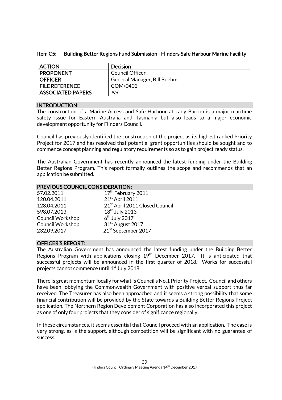| <b>ACTION</b>            | <b>Decision</b>             |
|--------------------------|-----------------------------|
| <b>PROPONENT</b>         | Council Officer             |
| <b>OFFICER</b>           | General Manager, Bill Boehm |
| <b>FILE REFERENCE</b>    | COM/0402                    |
| <b>ASSOCIATED PAPERS</b> | Nil                         |

#### Item C5: Building Better Regions Fund Submission - Flinders Safe Harbour Marine Facility

#### INTRODUCTION:

The construction of a Marine Access and Safe Harbour at Lady Barron is a major maritime safety issue for Eastern Australia and Tasmania but also leads to a major economic development opportunity for Flinders Council.

Council has previously identified the construction of the project as its highest ranked Priority Project for 2017 and has resolved that potential grant opportunities should be sought and to commence concept planning and regulatory requirements so as to gain project ready status.

The Australian Government has recently announced the latest funding under the Building Better Regions Program. This report formally outlines the scope and recommends that an application be submitted.

#### PREVIOUS COUNCIL CONSIDERATION:

| 57.02.2011              | 17 <sup>th</sup> February 2011  |
|-------------------------|---------------------------------|
| 120.04.2011             | 21st April 2011                 |
| 128.04.2011             | 21st April 2011 Closed Council  |
| 598.07.2013             | 18 <sup>th</sup> July 2013      |
| <b>Council Workshop</b> | $6th$ July 2017                 |
| <b>Council Workshop</b> | 31 <sup>st</sup> August 2017    |
| 232.09.2017             | 21 <sup>st</sup> September 2017 |

#### OFFICER'S REPORT:

The Australian Government has announced the latest funding under the Building Better Regions Program with applications closing 19<sup>th</sup> December 2017. It is anticipated that successful projects will be announced in the first quarter of 2018. Works for successful projects cannot commence until  $1^{\rm st}$  July 2018.

There is great momentum locally for what is Council's No.1 Priority Project. Council and others have been lobbying the Commonwealth Government with positive verbal support thus far received. The Treasurer has also been approached and it seems a strong possibility that some financial contribution will be provided by the State towards a Building Better Regions Project application. The Northern Region Development Corporation has also incorporated this project as one of only four projects that they consider of significance regionally.

In these circumstances, it seems essential that Council proceed with an application. The case is very strong, as is the support, although competition will be significant with no guarantee of success.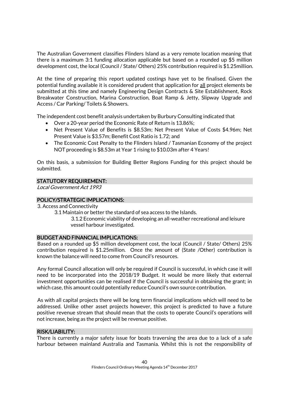The Australian Government classifies Flinders Island as a very remote location meaning that there is a maximum 3:1 funding allocation applicable but based on a rounded up \$5 million development cost, the local (Council / State/ Others) 25% contribution required is \$1.25million.

At the time of preparing this report updated costings have yet to be finalised. Given the potential funding available it is considered prudent that application for all project elements be submitted at this time and namely Engineering Design Contracts & Site Establishment, Rock Breakwater Construction, Marina Construction, Boat Ramp & Jetty, Slipway Upgrade and Access / Car Parking/ Toilets & Showers.

The independent cost benefit analysis undertaken by Burbury Consulting indicated that

- Over a 20-year period the Economic Rate of Return is 13.86%;
- Net Present Value of Benefits is \$8.53m; Net Present Value of Costs \$4.96m; Net Present Value is \$3.57m; Benefit Cost Ratio is 1.72; and
- The Economic Cost Penalty to the Flinders Island / Tasmanian Economy of the project NOT proceeding is \$8.53m at Year 1 rising to \$10.03m after 4 Years!

On this basis, a submission for Building Better Regions Funding for this project should be submitted.

# STATUTORY REQUIREMENT:

Local Government Act 1993

## POLICY/STRATEGIC IMPLICATIONS:

- 3. Access and Connectivity
	- 3.1 Maintain or better the standard of sea access to the Islands.

3.1.2 Economic viability of developing an all-weather recreational and leisure vessel harbour investigated.

#### BUDGET AND FINANCIAL IMPLICATIONS:

Based on a rounded up \$5 million development cost, the local (Council / State/ Others) 25% contribution required is \$1.25million. Once the amount of (State /Other) contribution is known the balance will need to come from Council's resources.

Any formal Council allocation will only be required if Council is successful, in which case it will need to be incorporated into the 2018/19 Budget. It would be more likely that external investment opportunities can be realised if the Council is successful in obtaining the grant; in which case, this amount could potentially reduce Council's own source contribution.

As with all capital projects there will be long term financial implications which will need to be addressed. Unlike other asset projects however, this project is predicted to have a future positive revenue stream that should mean that the costs to operate Council's operations will not increase, being as the project will be revenue positive.

#### RISK/LIABILITY:

There is currently a major safety issue for boats traversing the area due to a lack of a safe harbour between mainland Australia and Tasmania. Whilst this is not the responsibility of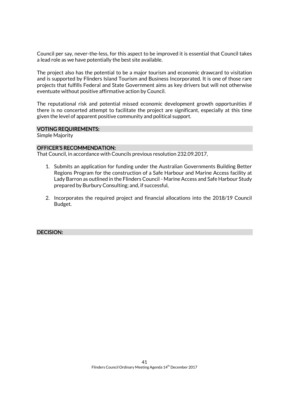Council per say, never-the-less, for this aspect to be improved it is essential that Council takes a lead role as we have potentially the best site available.

The project also has the potential to be a major tourism and economic drawcard to visitation and is supported by Flinders Island Tourism and Business Incorporated. It is one of those rare projects that fulfills Federal and State Government aims as key drivers but will not otherwise eventuate without positive affirmative action by Council.

The reputational risk and potential missed economic development growth opportunities if there is no concerted attempt to facilitate the project are significant, especially at this time given the level of apparent positive community and political support.

#### VOTING REQUIREMENTS:

Simple Majority

#### OFFICER'S RECOMMENDATION:

That Council, in accordance with Councils previous resolution 232.09.2017,

- 1. Submits an application for funding under the Australian Governments Building Better Regions Program for the construction of a Safe Harbour and Marine Access facility at Lady Barron as outlined in the Flinders Council - Marine Access and Safe Harbour Study prepared by Burbury Consulting; and, if successful,
- 2. Incorporates the required project and financial allocations into the 2018/19 Council Budget.